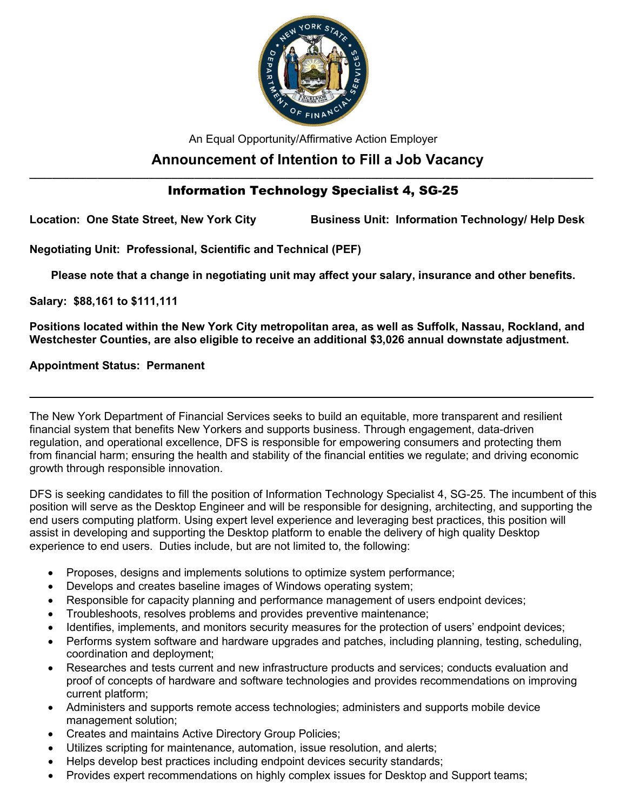

An Equal Opportunity/Affirmative Action Employer

# **Announcement of Intention to Fill a Job Vacancy**

## **\_\_\_\_\_\_\_\_\_\_\_\_\_\_\_\_\_\_\_\_\_\_\_\_\_\_\_\_\_\_\_\_\_\_\_\_\_\_\_\_\_\_\_\_\_\_\_\_\_\_\_\_\_\_\_\_\_\_\_\_\_\_\_\_\_\_\_\_\_\_\_\_\_\_\_\_\_\_\_\_\_\_\_\_\_\_\_\_\_\_\_\_\_\_\_\_\_\_\_** Information Technology Specialist 4, SG-25

**Location: One State Street, New York City Business Unit: Information Technology/ Help Desk**

**Negotiating Unit: Professional, Scientific and Technical (PEF)**

**Please note that a change in negotiating unit may affect your salary, insurance and other benefits.**

**Salary: \$88,161 to \$111,111** 

**Positions located within the New York City metropolitan area, as well as Suffolk, Nassau, Rockland, and Westchester Counties, are also eligible to receive an additional \$3,026 annual downstate adjustment.**

**\_\_\_\_\_\_\_\_\_\_\_\_\_\_\_\_\_\_\_\_\_\_\_\_\_\_\_\_\_\_\_\_\_\_\_\_\_\_\_\_\_\_\_\_\_\_\_\_\_\_\_\_\_\_\_\_\_\_\_\_\_\_\_\_\_\_\_\_\_\_\_\_\_\_\_\_\_\_\_\_\_\_\_\_\_\_\_\_\_\_\_\_\_\_\_\_\_\_\_**

**Appointment Status: Permanent**

The New York Department of Financial Services seeks to build an equitable, more transparent and resilient financial system that benefits New Yorkers and supports business. Through engagement, data-driven regulation, and operational excellence, DFS is responsible for empowering consumers and protecting them from financial harm; ensuring the health and stability of the financial entities we regulate; and driving economic growth through responsible innovation.

DFS is seeking candidates to fill the position of Information Technology Specialist 4, SG-25. The incumbent of this position will serve as the Desktop Engineer and will be responsible for designing, architecting, and supporting the end users computing platform. Using expert level experience and leveraging best practices, this position will assist in developing and supporting the Desktop platform to enable the delivery of high quality Desktop experience to end users. Duties include, but are not limited to, the following:

- Proposes, designs and implements solutions to optimize system performance;
- Develops and creates baseline images of Windows operating system;
- Responsible for capacity planning and performance management of users endpoint devices;
- Troubleshoots, resolves problems and provides preventive maintenance;
- Identifies, implements, and monitors security measures for the protection of users' endpoint devices;
- Performs system software and hardware upgrades and patches, including planning, testing, scheduling, coordination and deployment;
- Researches and tests current and new infrastructure products and services; conducts evaluation and proof of concepts of hardware and software technologies and provides recommendations on improving current platform;
- Administers and supports remote access technologies; administers and supports mobile device management solution;
- Creates and maintains Active Directory Group Policies;
- Utilizes scripting for maintenance, automation, issue resolution, and alerts;
- Helps develop best practices including endpoint devices security standards;
- Provides expert recommendations on highly complex issues for Desktop and Support teams;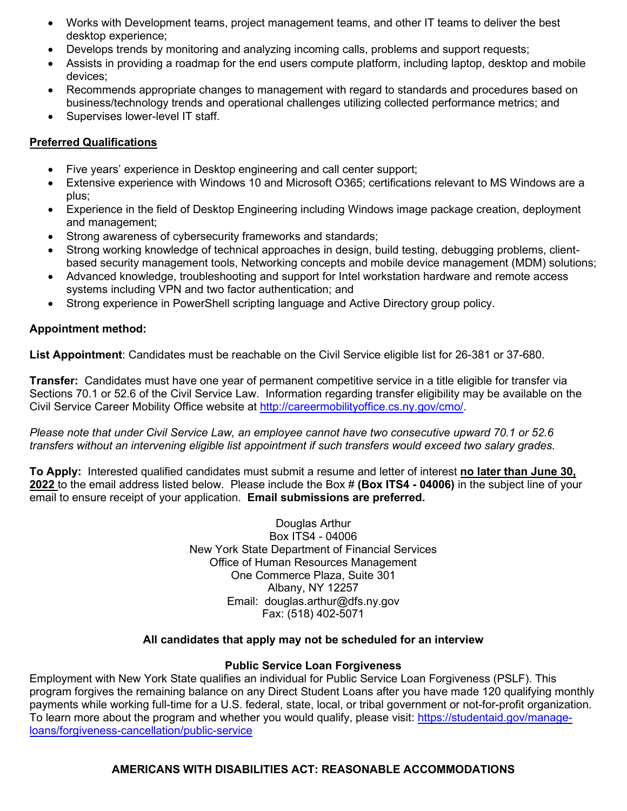- Works with Development teams, project management teams, and other IT teams to deliver the best desktop experience;
- Develops trends by monitoring and analyzing incoming calls, problems and support requests;
- Assists in providing a roadmap for the end users compute platform, including laptop, desktop and mobile devices;
- Recommends appropriate changes to management with regard to standards and procedures based on business/technology trends and operational challenges utilizing collected performance metrics; and
- Supervises lower-level IT staff.

# **Preferred Qualifications**

- Five years' experience in Desktop engineering and call center support;
- Extensive experience with Windows 10 and Microsoft O365; certifications relevant to MS Windows are a plus;
- Experience in the field of Desktop Engineering including Windows image package creation, deployment and management;
- Strong awareness of cybersecurity frameworks and standards;
- Strong working knowledge of technical approaches in design, build testing, debugging problems, clientbased security management tools, Networking concepts and mobile device management (MDM) solutions;
- Advanced knowledge, troubleshooting and support for Intel workstation hardware and remote access systems including VPN and two factor authentication; and
- Strong experience in PowerShell scripting language and Active Directory group policy.

### **Appointment method:**

**List Appointment**: Candidates must be reachable on the Civil Service eligible list for 26-381 or 37-680.

**Transfer:** Candidates must have one year of permanent competitive service in a title eligible for transfer via Sections 70.1 or 52.6 of the Civil Service Law. Information regarding transfer eligibility may be available on the Civil Service Career Mobility Office website at [http://careermobilityoffice.cs.ny.gov/cmo/.](http://careermobilityoffice.cs.ny.gov/cmo/)

*Please note that under Civil Service Law, an employee cannot have two consecutive upward 70.1 or 52.6 transfers without an intervening eligible list appointment if such transfers would exceed two salary grades.*

**To Apply:** Interested qualified candidates must submit a resume and letter of interest **no later than June 30, 2022** to the email address listed below. Please include the Box # **(Box ITS4 - 04006)** in the subject line of your email to ensure receipt of your application. **Email submissions are preferred.**

> Douglas Arthur Box ITS4 - 04006 New York State Department of Financial Services Office of Human Resources Management One Commerce Plaza, Suite 301 Albany, NY 12257 Email: douglas.arthur@dfs.ny.gov Fax: (518) 402-5071

#### **All candidates that apply may not be scheduled for an interview**

#### **Public Service Loan Forgiveness**

Employment with New York State qualifies an individual for Public Service Loan Forgiveness (PSLF). This program forgives the remaining balance on any Direct Student Loans after you have made 120 qualifying monthly payments while working full-time for a U.S. federal, state, local, or tribal government or not-for-profit organization. To learn more about the program and whether you would qualify, please visit: [https://studentaid.gov/manage](https://gcc02.safelinks.protection.outlook.com/?url=https%3A%2F%2Fstudentaid.gov%2Fmanage-loans%2Fforgiveness-cancellation%2Fpublic-service&data=05%7C01%7CRyan.Taratus%40dfs.ny.gov%7Ca5589a885aaa4f38409c08da4d44e1f8%7Cf46cb8ea79004d108ceb80e8c1c81ee7%7C0%7C0%7C637907255482013888%7CUnknown%7CTWFpbGZsb3d8eyJWIjoiMC4wLjAwMDAiLCJQIjoiV2luMzIiLCJBTiI6Ik1haWwiLCJXVCI6Mn0%3D%7C3000%7C%7C%7C&sdata=eRLRIHKEIgoxAyHSe3KYdxL5EDZ5imMKw6lim0EDHBM%3D&reserved=0)[loans/forgiveness-cancellation/public-service](https://gcc02.safelinks.protection.outlook.com/?url=https%3A%2F%2Fstudentaid.gov%2Fmanage-loans%2Fforgiveness-cancellation%2Fpublic-service&data=05%7C01%7CRyan.Taratus%40dfs.ny.gov%7Ca5589a885aaa4f38409c08da4d44e1f8%7Cf46cb8ea79004d108ceb80e8c1c81ee7%7C0%7C0%7C637907255482013888%7CUnknown%7CTWFpbGZsb3d8eyJWIjoiMC4wLjAwMDAiLCJQIjoiV2luMzIiLCJBTiI6Ik1haWwiLCJXVCI6Mn0%3D%7C3000%7C%7C%7C&sdata=eRLRIHKEIgoxAyHSe3KYdxL5EDZ5imMKw6lim0EDHBM%3D&reserved=0)

#### **AMERICANS WITH DISABILITIES ACT: REASONABLE ACCOMMODATIONS**